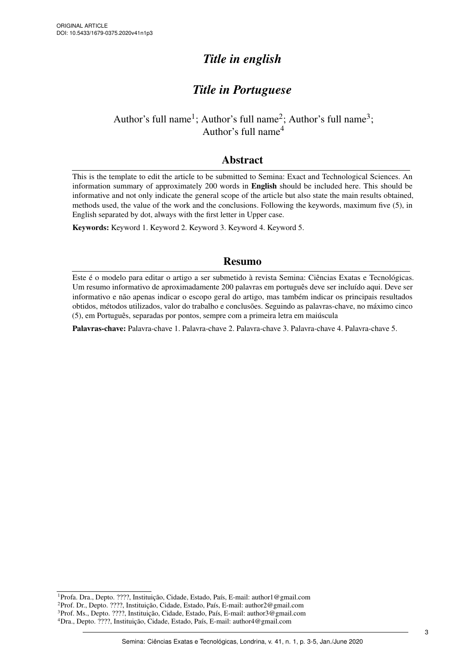# *Title in english*

# *Title in Portuguese*

## Author's full name<sup>1</sup>; Author's full name<sup>2</sup>; Author's full name<sup>3</sup>; Author's full name<sup>4</sup>

## Abstract

This is the template to edit the article to be submitted to Semina: Exact and Technological Sciences. An information summary of approximately 200 words in English should be included here. This should be informative and not only indicate the general scope of the article but also state the main results obtained, methods used, the value of the work and the conclusions. Following the keywords, maximum five (5), in English separated by dot, always with the first letter in Upper case.

Keywords: Keyword 1. Keyword 2. Keyword 3. Keyword 4. Keyword 5.

## Resumo

Este é o modelo para editar o artigo a ser submetido à revista Semina: Ciências Exatas e Tecnológicas. Um resumo informativo de aproximadamente 200 palavras em português deve ser incluído aqui. Deve ser informativo e não apenas indicar o escopo geral do artigo, mas também indicar os principais resultados obtidos, métodos utilizados, valor do trabalho e conclusões. Seguindo as palavras-chave, no máximo cinco (5), em Português, separadas por pontos, sempre com a primeira letra em maiúscula

Palavras-chave: Palavra-chave 1. Palavra-chave 2. Palavra-chave 3. Palavra-chave 4. Palavra-chave 5.

<sup>1</sup>Profa. Dra., Depto. ????, Instituição, Cidade, Estado, País, E-mail: author1@gmail.com <sup>2</sup>Prof. Dr., Depto. ????, Instituição, Cidade, Estado, País, E-mail: author2@gmail.com <sup>3</sup>Prof. Ms., Depto. ????, Instituição, Cidade, Estado, País, E-mail: author3@gmail.com <sup>4</sup>Dra., Depto. ????, Instituição, Cidade, Estado, País, E-mail: author4@gmail.com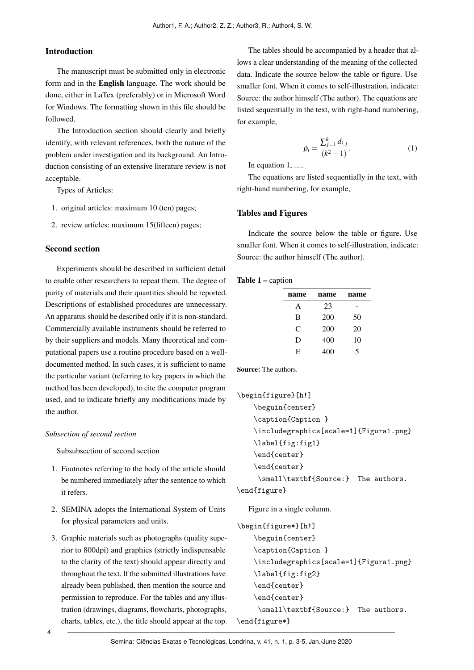#### Introduction

The manuscript must be submitted only in electronic form and in the English language. The work should be done, either in LaTex (preferably) or in Microsoft Word for Windows. The formatting shown in this file should be followed.

The Introduction section should clearly and briefly identify, with relevant references, both the nature of the problem under investigation and its background. An Introduction consisting of an extensive literature review is not acceptable.

Types of Articles:

- 1. original articles: maximum 10 (ten) pages;
- 2. review articles: maximum 15(fifteen) pages;

#### Second section

Experiments should be described in sufficient detail to enable other researchers to repeat them. The degree of purity of materials and their quantities should be reported. Descriptions of established procedures are unnecessary. An apparatus should be described only if it is non-standard. Commercially available instruments should be referred to by their suppliers and models. Many theoretical and computational papers use a routine procedure based on a welldocumented method. In such cases, it is sufficient to name the particular variant (referring to key papers in which the method has been developed), to cite the computer program used, and to indicate briefly any modifications made by the author.

#### *Subsection of second section*

Subsubsection of second section

- 1. Footnotes referring to the body of the article should be numbered immediately after the sentence to which it refers.
- 2. SEMINA adopts the International System of Units for physical parameters and units.
- 3. Graphic materials such as photographs (quality superior to 800dpi) and graphics (strictly indispensable to the clarity of the text) should appear directly and throughout the text. If the submitted illustrations have already been published, then mention the source and permission to reproduce. For the tables and any illustration (drawings, diagrams, flowcharts, photographs, charts, tables, etc.), the title should appear at the top.

The tables should be accompanied by a header that allows a clear understanding of the meaning of the collected data. Indicate the source below the table or figure. Use smaller font. When it comes to self-illustration, indicate: Source: the author himself (The author). The equations are listed sequentially in the text, with right-hand numbering, for example,

$$
\rho_i = \frac{\sum_{j=1}^k d_{i,j}}{(k^2 - 1)}.
$$
\n(1)

<span id="page-1-0"></span>In equation [1,](#page-1-0) .....

The equations are listed sequentially in the text, with right-hand numbering, for example,

#### Tables and Figures

Indicate the source below the table or figure. Use smaller font. When it comes to self-illustration, indicate: Source: the author himself (The author).

#### Table 1 – caption

| name | name | name |
|------|------|------|
| Α    | 23   |      |
| B    | 200  | 50   |
| C    | 200  | 20   |
| D    | 400  | 10   |
| E    | 400  | 5    |

Source: The authors.

```
\begin{figure}[h!]
    \beguin{center}
    \caption{Caption }
    \includegraphics[scale=1]{Figura1.png}
    \label{fig:fig1}
    \end{center}
    \end{center}
     \small\textbf{Source:} The authors.
```

```
\end{figure}
```
Figure in a single column.

```
\begin{figure*}[h!]
    \beguin{center}
    \caption{Caption }
    \includegraphics[scale=1]{Figura1.png}
    \label{fig:fig2}
    \end{center}
    \end{center}
     \small\textbf{Source:} The authors.
\end{figure*}
```